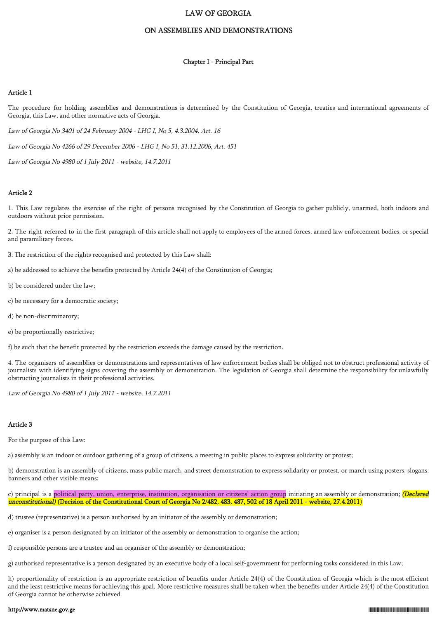# LAW OF GEORGIA

## ON ASSEMBLIES AND DEMONSTRATIONS

### Chapter I - Principal Part

#### Article 1

The procedure for holding assemblies and demonstrations is determined by the Constitution of Georgia, treaties and international agreements of Georgia, this Law, and other normative acts of Georgia.

Law of Georgia No 3401 of 24 February 2004 - LHG I, No 5, 4.3.2004, Art. 16

Law of Georgia No 4266 of 29 December 2006 - LHG I, No 51, 31.12.2006, Art. 451

Law of Georgia No 4980 of 1 July 2011 - website, 14.7.2011

## Article 2

1. This Law regulates the exercise of the right of persons recognised by the Constitution of Georgia to gather publicly, unarmed, both indoors and outdoors without prior permission.

2. The right referred to in the first paragraph of this article shall not apply to employees of the armed forces, armed law enforcement bodies, or special and paramilitary forces.

- 3. The restriction of the rights recognised and protected by this Law shall:
- a) be addressed to achieve the benefits protected by Article 24(4) of the Constitution of Georgia;
- b) be considered under the law;
- c) be necessary for a democratic society;
- d) be non-discriminatory;
- e) be proportionally restrictive;

f) be such that the benefit protected by the restriction exceeds the damage caused by the restriction.

4. The organisers of assemblies or demonstrations and representatives of law enforcement bodies shall be obliged not to obstruct professional activity of journalists with identifying signs covering the assembly or demonstration. The legislation of Georgia shall determine the responsibility for unlawfully obstructing journalists in their professional activities.

Law of Georgia No 4980 of 1 July 2011 - website, 14.7.2011

#### Article 3

For the purpose of this Law:

a) assembly is an indoor or outdoor gathering of a group of citizens, a meeting in public places to express solidarity or protest;

b) demonstration is an assembly of citizens, mass public march, and street demonstration to express solidarity or protest, or march using posters, slogans, banners and other visible means;

c) principal is a political party, union, enterprise, institution, organisation or citizens' action group initiating an assembly or demonstration; *(Declared* unconstitutional) (Decision of the Constitutional Court of Georgia No 2/482, 483, 487, 502 of 18 April 2011 - website, 27.4.2011)

d) trustee (representative) is a person authorised by an initiator of the assembly or demonstration;

- e) organiser is a person designated by an initiator of the assembly or demonstration to organise the action;
- f) responsible persons are a trustee and an organiser of the assembly or demonstration;

g) authorised representative is a person designated by an executive body of a local self-government for performing tasks considered in this Law;

h) proportionality of restriction is an appropriate restriction of benefits under Article 24(4) of the Constitution of Georgia which is the most efficient and the least restrictive means for achieving this goal. More restrictive measures shall be taken when the benefits under Article 24(4) of the Constitution of Georgia cannot be otherwise achieved.

#### http://www.matsne.gov.ge 010.300.05.000.05.000.05.000.05.000.05.000.05.0000.05.000.05.000.05.000.05.000.05.000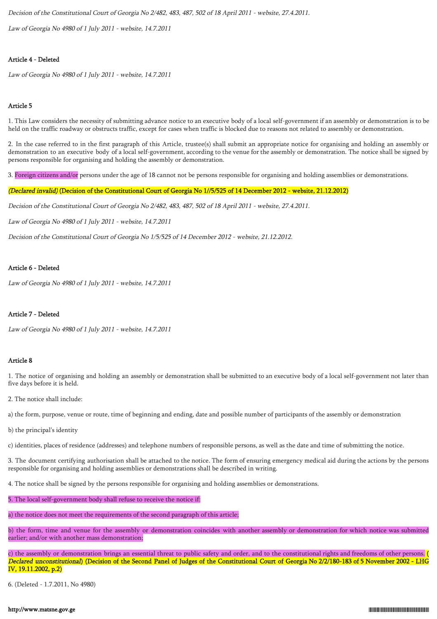Decision of the Constitutional Court of Georgia No 2/482, 483, 487, 502 of 18 April 2011 - website, 27.4.2011.

Law of Georgia No 4980 of 1 July 2011 - website, 14.7.2011

# Article 4 - Deleted

Law of Georgia No 4980 of 1 July 2011 - website, 14.7.2011

# Article 5

1. This Law considers the necessity of submitting advance notice to an executive body of a local self-government if an assembly or demonstration is to be held on the traffic roadway or obstructs traffic, except for cases when traffic is blocked due to reasons not related to assembly or demonstration.

2. In the case referred to in the first paragraph of this Article, trustee(s) shall submit an appropriate notice for organising and holding an assembly or demonstration to an executive body of a local self-government, according to the venue for the assembly or demonstration. The notice shall be signed by persons responsible for organising and holding the assembly or demonstration.

3. Foreign citizens and/or persons under the age of 18 cannot not be persons responsible for organising and holding assemblies or demonstrations.

# (Declared invalid) (Decision of the Constitutional Court of Georgia No 1//5/525 of 14 December 2012 - website, 21.12.2012)

Decision of the Constitutional Court of Georgia No 2/482, 483, 487, 502 of 18 April 2011 - website, 27.4.2011.

Law of Georgia No 4980 of 1 July 2011 - website, 14.7.2011

Decision of the Constitutional Court of Georgia No 1/5/525 of 14 December 2012 - website, 21.12.2012.

### Article 6 - Deleted

Law of Georgia No 4980 of 1 July 2011 - website, 14.7.2011

# Article 7 - Deleted

Law of Georgia No 4980 of 1 July 2011 - website, 14.7.2011

# Article 8

1. The notice of organising and holding an assembly or demonstration shall be submitted to an executive body of a local self-government not later than five days before it is held.

2. The notice shall include:

a) the form, purpose, venue or route, time of beginning and ending, date and possible number of participants of the assembly or demonstration

b) the principal's identity

c) identities, places of residence (addresses) and telephone numbers of responsible persons, as well as the date and time of submitting the notice.

3. The document certifying authorisation shall be attached to the notice. The form of ensuring emergency medical aid during the actions by the persons responsible for organising and holding assemblies or demonstrations shall be described in writing.

4. The notice shall be signed by the persons responsible for organising and holding assemblies or demonstrations.

5. The local self-government body shall refuse to receive the notice if:

a) the notice does not meet the requirements of the second paragraph of this article;

b) the form, time and venue for the assembly or demonstration coincides with another assembly or demonstration for which notice was submitted earlier; and/or with another mass demonstration;

c) the assembly or demonstration brings an essential threat to public safety and order, and to the constitutional rights and freedoms of other persons. Declared unconstitutional) (Decision of the Second Panel of Judges of the Constitutional Court of Georgia No 2/2/180-183 of 5 November 2002 - LHG IV, 19.11.2002, p.2)

6. (Deleted - 1.7.2011, No 4980)

### http://www.matsne.gov.ge 010.300.000.05.001.000.219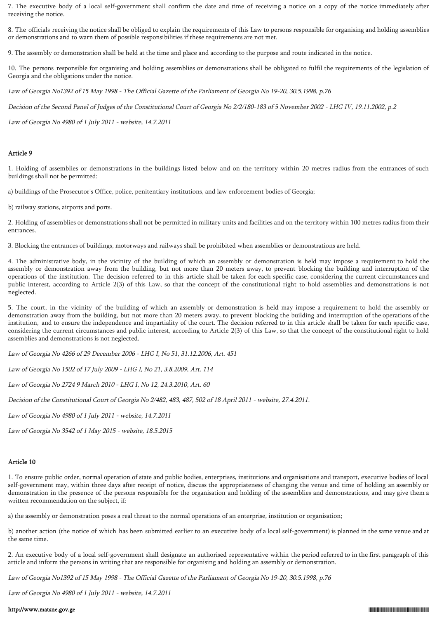7. The executive body of a local self-government shall confirm the date and time of receiving a notice on a copy of the notice immediately after receiving the notice.

8. The officials receiving the notice shall be obliged to explain the requirements of this Law to persons responsible for organising and holding assemblies or demonstrations and to warn them of possible responsibilities if these requirements are not met.

9. The assembly or demonstration shall be held at the time and place and according to the purpose and route indicated in the notice.

10. The persons responsible for organising and holding assemblies or demonstrations shall be obligated to fulfil the requirements of the legislation of Georgia and the obligations under the notice.

Law of Georgia No1392 of 15 May 1998 - The Official Gazette of the Parliament of Georgia No 19-20, 30.5.1998, p.76

Decision of the Second Panel of Judges of the Constitutional Court of Georgia No 2/2/180-183 of 5 November 2002 - LHG IV, 19.11.2002, p.2

Law of Georgia No 4980 of 1 July 2011 - website, 14.7.2011

#### Article 9

1. Holding of assemblies or demonstrations in the buildings listed below and on the territory within 20 metres radius from the entrances of such buildings shall not be permitted:

a) buildings of the Prosecutor's Office, police, penitentiary institutions, and law enforcement bodies of Georgia;

b) railway stations, airports and ports.

2. Holding of assemblies or demonstrations shall not be permitted in military units and facilities and on the territory within 100 metres radius from their entrances.

3. Blocking the entrances of buildings, motorways and railways shall be prohibited when assemblies or demonstrations are held.

4. The administrative body, in the vicinity of the building of which an assembly or demonstration is held may impose a requirement to hold the assembly or demonstration away from the building, but not more than 20 meters away, to prevent blocking the building and interruption of the operations of the institution. The decision referred to in this article shall be taken for each specific case, considering the current circumstances and public interest, according to Article 2(3) of this Law, so that the concept of the constitutional right to hold assemblies and demonstrations is not neglected.

5. The court, in the vicinity of the building of which an assembly or demonstration is held may impose a requirement to hold the assembly or demonstration away from the building, but not more than 20 meters away, to prevent blocking the building and interruption of the operations of the institution, and to ensure the independence and impartiality of the court. The decision referred to in this article shall be taken for each specific case, considering the current circumstances and public interest, according to Article 2(3) of this Law, so that the concept of the constitutional right to hold assemblies and demonstrations is not neglected.

Law of Georgia No 4266 of 29 December 2006 - LHG I, No 51, 31.12.2006, Art. 451

Law of Georgia No 1502 of 17 July 2009 - LHG I, No 21, 3.8.2009, Art. 114

Law of Georgia No 2724 9 March 2010 - LHG I, No 12, 24.3.2010, Art. 60

Decision of the Constitutional Court of Georgia No 2/482, 483, 487, 502 of 18 April 2011 - website, 27.4.2011.

Law of Georgia No 4980 of 1 July 2011 - website, 14.7.2011

Law of Georgia No 3542 of 1 May 2015 - website, 18.5.2015

### Article 10

1. To ensure public order, normal operation of state and public bodies, enterprises, institutions and organisations and transport, executive bodies of local self-government may, within three days after receipt of notice, discuss the appropriateness of changing the venue and time of holding an assembly or demonstration in the presence of the persons responsible for the organisation and holding of the assemblies and demonstrations, and may give them a written recommendation on the subject, if:

a) the assembly or demonstration poses a real threat to the normal operations of an enterprise, institution or organisation;

b) another action (the notice of which has been submitted earlier to an executive body of a local self-government) is planned in the same venue and at the same time.

2. An executive body of a local self-government shall designate an authorised representative within the period referred to in the first paragraph of this article and inform the persons in writing that are responsible for organising and holding an assembly or demonstration.

Law of Georgia No1392 of 15 May 1998 - The Official Gazette of the Parliament of Georgia No 19-20, 30.5.1998, p.76

Law of Georgia No 4980 of 1 July 2011 - website, 14.7.2011

#### http://www.matsne.gov.ge 010.300.05.000.05.000.05.000.05.000.05.000.05.0000.05.000.05.000.05.000.05.000.05.000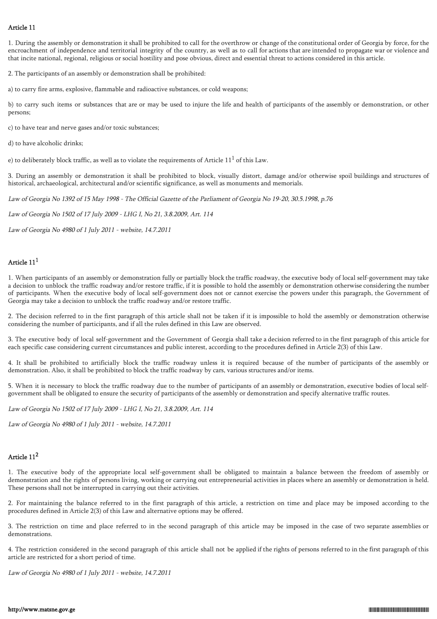# Article 11

1. During the assembly or demonstration it shall be prohibited to call for the overthrow or change of the constitutional order of Georgia by force, for the encroachment of independence and territorial integrity of the country, as well as to call for actions that are intended to propagate war or violence and that incite national, regional, religious or social hostility and pose obvious, direct and essential threat to actions considered in this article.

2. The participants of an assembly or demonstration shall be prohibited:

a) to carry fire arms, explosive, flammable and radioactive substances, or cold weapons;

b) to carry such items or substances that are or may be used to injure the life and health of participants of the assembly or demonstration, or other persons;

c) to have tear and nerve gases and/or toxic substances;

d) to have alcoholic drinks;

e) to deliberately block traffic, as well as to violate the requirements of Article  $11^1$  of this Law.

3. During an assembly or demonstration it shall be prohibited to block, visually distort, damage and/or otherwise spoil buildings and structures of historical, archaeological, architectural and/or scientific significance, as well as monuments and memorials.

Law of Georgia No 1392 of 15 May 1998 - The Official Gazette of the Parliament of Georgia No 19-20, 30.5.1998, p.76

Law of Georgia No 1502 of 17 July 2009 - LHG I, No 21, 3.8.2009, Art. 114

Law of Georgia No 4980 of 1 July 2011 - website, 14.7.2011

# Article  $11<sup>1</sup>$

1. When participants of an assembly or demonstration fully or partially block the traffic roadway, the executive body of local self-government may take a decision to unblock the traffic roadway and/or restore traffic, if it is possible to hold the assembly or demonstration otherwise considering the number of participants. When the executive body of local self-government does not or cannot exercise the powers under this paragraph, the Government of Georgia may take a decision to unblock the traffic roadway and/or restore traffic.

2. The decision referred to in the first paragraph of this article shall not be taken if it is impossible to hold the assembly or demonstration otherwise considering the number of participants, and if all the rules defined in this Law are observed.

3. The executive body of local self-government and the Government of Georgia shall take a decision referred to in the first paragraph of this article for each specific case considering current circumstances and public interest, according to the procedures defined in Article 2(3) of this Law.

4. It shall be prohibited to artificially block the traffic roadway unless it is required because of the number of participants of the assembly or demonstration. Also, it shall be prohibited to block the traffic roadway by cars, various structures and/or items.

5. When it is necessary to block the traffic roadway due to the number of participants of an assembly or demonstration, executive bodies of local selfgovernment shall be obligated to ensure the security of participants of the assembly or demonstration and specify alternative traffic routes.

Law of Georgia No 1502 of 17 July 2009 - LHG I, No 21, 3.8.2009, Art. 114

Law of Georgia No 4980 of 1 July 2011 - website, 14.7.2011

# Article 11<sup>2</sup>

1. The executive body of the appropriate local self-government shall be obligated to maintain a balance between the freedom of assembly or demonstration and the rights of persons living, working or carrying out entrepreneurial activities in places where an assembly or demonstration is held. These persons shall not be interrupted in carrying out their activities.

2. For maintaining the balance referred to in the first paragraph of this article, a restriction on time and place may be imposed according to the procedures defined in Article 2(3) of this Law and alternative options may be offered.

3. The restriction on time and place referred to in the second paragraph of this article may be imposed in the case of two separate assemblies or demonstrations.

4. The restriction considered in the second paragraph of this article shall not be applied if the rights of persons referred to in the first paragraph of this article are restricted for a short period of time.

Law of Georgia No 4980 of 1 July 2011 - website, 14.7.2011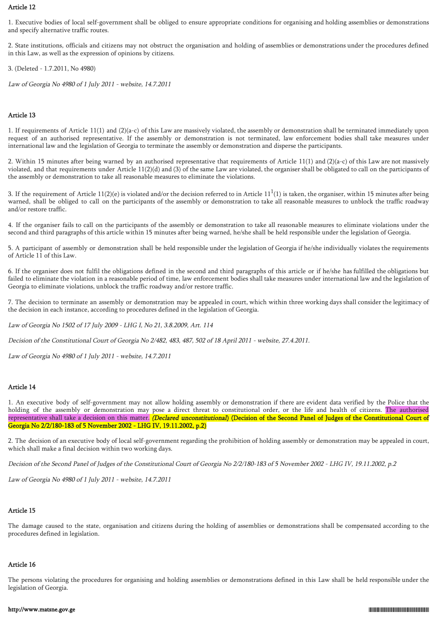# Article 12

1. Executive bodies of local self-government shall be obliged to ensure appropriate conditions for organising and holding assemblies or demonstrations and specify alternative traffic routes.

2. State institutions, officials and citizens may not obstruct the organisation and holding of assemblies or demonstrations under the procedures defined in this Law, as well as the expression of opinions by citizens.

3. (Deleted - 1.7.2011, No 4980)

Law of Georgia No 4980 of 1 July 2011 - website, 14.7.2011

# Article 13

1. If requirements of Article 11(1) and (2)(a-c) of this Law are massively violated, the assembly or demonstration shall be terminated immediately upon request of an authorised representative. If the assembly or demonstration is not terminated, law enforcement bodies shall take measures under international law and the legislation of Georgia to terminate the assembly or demonstration and disperse the participants.

2. Within 15 minutes after being warned by an authorised representative that requirements of Article 11(1) and (2)(a-c) of this Law are not massively violated, and that requirements under Article 11(2)(d) and (3) of the same Law are violated, the organiser shall be obligated to call on the participants of the assembly or demonstration to take all reasonable measures to eliminate the violations.

3. If the requirement of Article 11(2)(e) is violated and/or the decision referred to in Article 11<sup>1</sup>(1) is taken, the organiser, within 15 minutes after being warned, shall be obliged to call on the participants of the assembly or demonstration to take all reasonable measures to unblock the traffic roadway and/or restore traffic.

4. If the organiser fails to call on the participants of the assembly or demonstration to take all reasonable measures to eliminate violations under the second and third paragraphs of this article within 15 minutes after being warned, he/she shall be held responsible under the legislation of Georgia.

5. A participant of assembly or demonstration shall be held responsible under the legislation of Georgia if he/she individually violates the requirements of Article 11 of this Law.

6. If the organiser does not fulfil the obligations defined in the second and third paragraphs of this article or if he/she has fulfilled the obligations but failed to eliminate the violation in a reasonable period of time, law enforcement bodies shall take measures under international law and the legislation of Georgia to eliminate violations, unblock the traffic roadway and/or restore traffic.

7. The decision to terminate an assembly or demonstration may be appealed in court, which within three working days shall consider the legitimacy of the decision in each instance, according to procedures defined in the legislation of Georgia.

Law of Georgia No 1502 of 17 July 2009 - LHG I, No 21, 3.8.2009, Art. 114

Decision of the Constitutional Court of Georgia No 2/482, 483, 487, 502 of 18 April 2011 - website, 27.4.2011.

Law of Georgia No 4980 of 1 July 2011 - website, 14.7.2011

#### Article 14

1. An executive body of self-government may not allow holding assembly or demonstration if there are evident data verified by the Police that the holding of the assembly or demonstration may pose a direct threat to constitutional order, or the life and health of citizens. The authorised representative shall take a decision on this matter. (Declared unconstitutional) (Decision of the Second Panel of Judges of the Constitutional Court of Georgia No 2/2/180-183 of 5 November 2002 - LHG IV, 19.11.2002, p.2)

2. The decision of an executive body of local self-government regarding the prohibition of holding assembly or demonstration may be appealed in court, which shall make a final decision within two working days.

Decision of the Second Panel of Judges of the Constitutional Court of Georgia No 2/2/180-183 of 5 November 2002 - LHG IV, 19.11.2002, p.2

Law of Georgia No 4980 of 1 July 2011 - website, 14.7.2011

# Article 15

The damage caused to the state, organisation and citizens during the holding of assemblies or demonstrations shall be compensated according to the procedures defined in legislation.

#### Article 16

The persons violating the procedures for organising and holding assemblies or demonstrations defined in this Law shall be held responsible under the legislation of Georgia.

#### http://www.matsne.gov.ge 010.300.05.000.05.000.05.000.05.000.05.000.05.0000.05.000.05.000.05.000.05.000.05.000